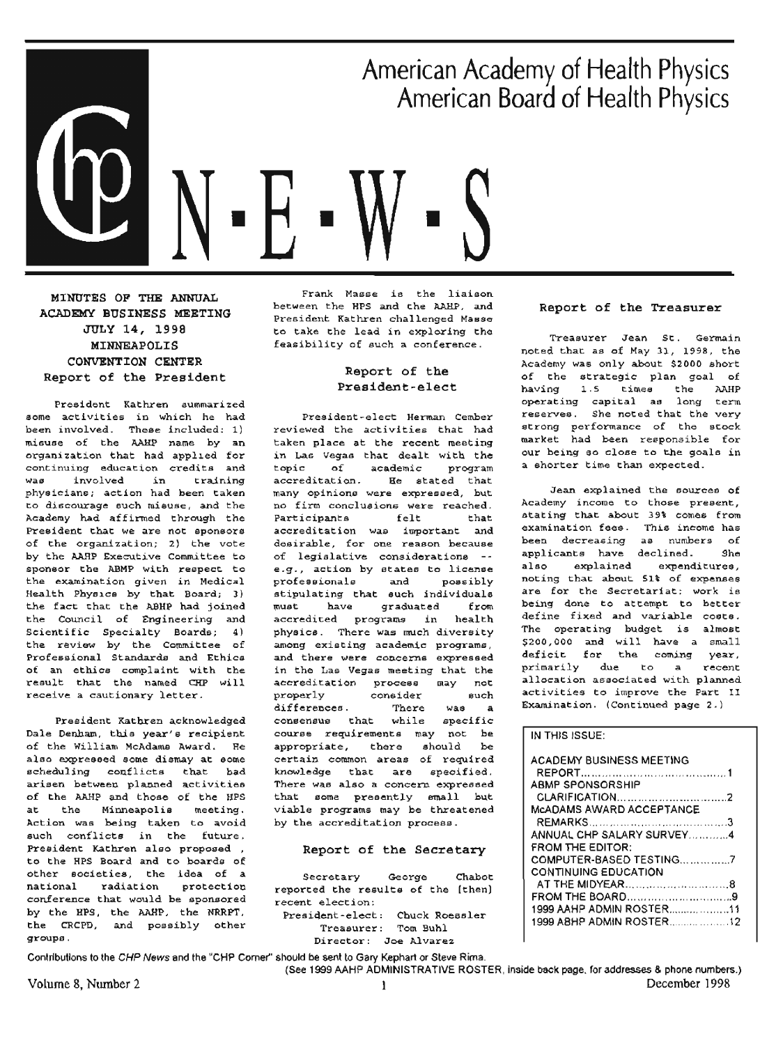

**MINOTES OP THE ANNUAL ACADEMY BUSINESS MEETING**  JULY 14, 1998 **MINNEAPOLIS CONVENTION CENTER**  Report of the President

President Kathren summarized some activities in which he had been involved. These included: 1) misuse of the AAHP name by an organization that had applied for continuing education credits and was involved in training physicians; action had been taken to discourage such misuse, and the Academy had affirmed through the President that we are not sponsors of the organization; 2) the vote by the AARP Executive Committee to sponsor the ABMP with respect. to the examination given in Medical Health Physics by that Board; 3) the fact that the ABHP had joined the Council of Engineering and Scientific Specialty Boards; 4) the review by the Committee of Professional Standards and Ethics of an ethics complaint. with the result that the named CHP will receive a cautionary letter.

President Kathren acknowledged Dale Denham, this year's recipient of the William McAdams Award. He also expressed some dismay at some scheduling conflicts that bad arisen between planned activities of the AAHP and those of the HPS at the Minneapolis meeting. Action was being taken to avoid such conflicts in the future. President Kathren also proposed, to the HPS Board and to boards of other societies, the idea of a<br>national radiation protection protection conference that would be sponsored by the HPS, the AAHP, the NRRPT, the CRCPD, and possibly other groups.

Frank Masse ie the liaison between the HPS and the AAHP, and President Kathren challenged Masse to take the lead in exploring the feasibility of such a conference.

#### Report of the **President-elect**

President-elect Herman Cember reviewed the activities that had taken place at the recent meeting in Las Vegas that dealt with the<br>topic of academic program academic program accreditation. He stated that many opinions were expressed, but no firm conclusions were reached. Participants felt that accreditation was important and desirable, for one reason because of legislative considerations e.g., action by states to license<br>professionals and possibly professionals and possibly stipulating that such individuals must have graduated from accredited programs in health physics. There was much diversity among existing academic programs, and there were concerne expressed in the Las Vegas meeting that the accreditation process may not properly consider such differences. There was **a**  conseneue that while specific course requirements may not be appropriate, there should be certain common areas of required knowledge that are specified. There was also a concern expressed that some presently emall but viable programs may be threatened by the accreditation process.

#### **Report of the Secretary**

Secretary George Chabot reported the results of the (then) recent election: President-elect: Chuck Roessler Treasurer: Tom Buhl

Director: Joe Alvarez

#### **Report** of **the Treasurer**

Treasurer Jean St. Germain noted that as of May 31, 1998, the Academy was only about \$2000 short of the strategic plan goal of having 1.5 times the AAHP operating capital as long term reserves. She noted that the very strong performance of the stock market had been responsible for our being so close to the goals in a shorter time than expected.

Jean explained the sources of Academy income to those present, stating that about 39% comes from examination fees. This income has been decreasing as numbers of applicants have declined. She<br>also explained expenditures. explained expenditures, noting that about **Slt** of experuies are for the Secretariat: work is being done to attempt to better define fixed and variable costs. The operating budget is almost ~200,000 and will have a small deficit for the coming year, primarily due to a recent allocation associated with planned activities to improve the Part II Examination. (Continued page 2.)

#### IN THIS ISSUE:

| <b>ACADEMY BUSINESS MEETING</b> |  |
|---------------------------------|--|
| ABMP SPONSORSHIP                |  |
|                                 |  |
| MCADAMS AWARD ACCEPTANCE        |  |
|                                 |  |
| ANNUAL CHP SALARY SURVEY4       |  |
| <b>FROM THE EDITOR:</b>         |  |
|                                 |  |
| <b>CONTINUING EDUCATION</b>     |  |
|                                 |  |
|                                 |  |
| 1999 AAHP ADMIN ROSTER11        |  |
|                                 |  |
|                                 |  |

Contributions to the CHP News and the "CHP Comer'' should be sent to Gary Kephart or Steve Rima. (See 1999 AAHP ADMINISTRATIVE ROSTER, inside back page. for addresses & phone numbera.)

Volume 8, Number 2 l December 1998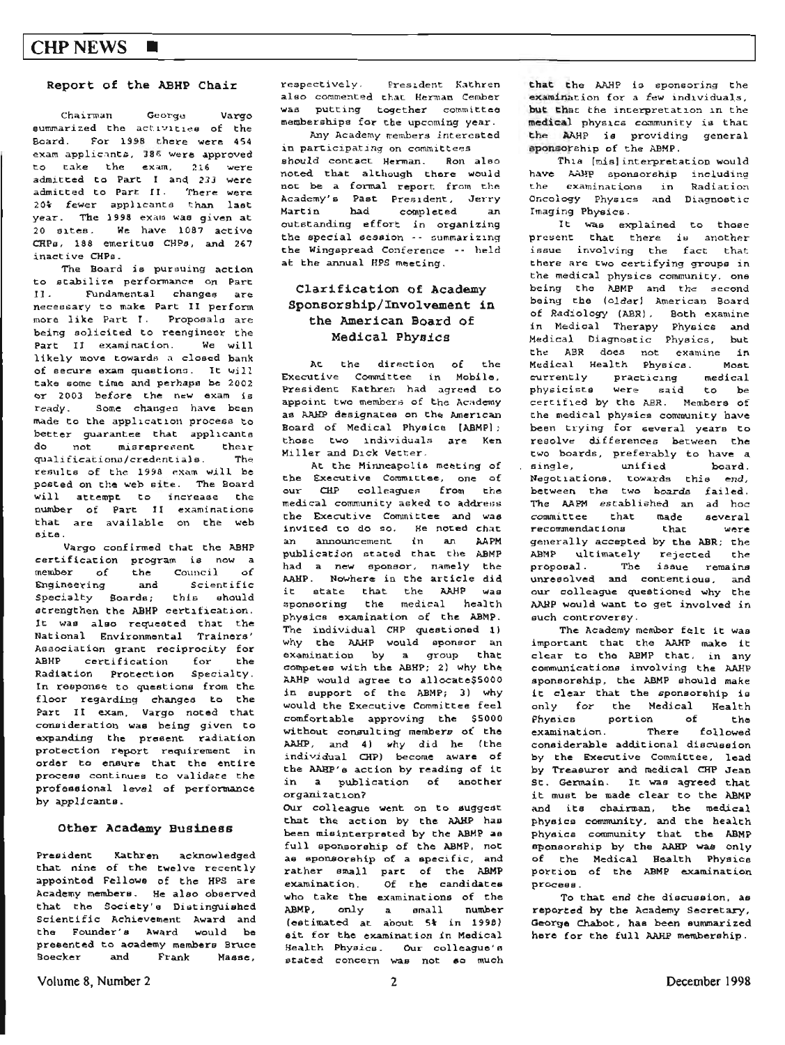#### Report of the ABHP Chair

Chairman George Vargo summarized the activities of the Board. For 1998 there were 454 exam applicants, 386 were approved to take the exam, 216 were admitted to Part I and 233 were admitted to Part II. There were 20% fewer applicants than last year. The 1998 exam was given at 20 sites. We have 1087 active CRPs, 188 emeritus CHPs, and 267 inactive CHPs.

The Board is pursuing action to stabilize performance on Part II. Fundamental changes are necessary to make Part II perform more like Part I. Proposals are being solicited to reengineer the Part II examination. We will likely move towards a closed bank of secure exam questions. It will take some time and perhaps be 2002 or 2003 before the new exam is ready. Some changes have been made to the application process to better guarantee that applicants  $d\alpha$ not misrepresent their The qualifications/credentials. results of the 1998 exam will be posted on the web site. The Board will attempt to increase the number of Part II examinations that are available on the web site.

Vargo confirmed that the ABHP certification program is now a member of the Council of Engineering and Scientific Specialty Boards; this should strengthen the ABHP certification. It was also requested that the National Environmental Trainers' Association grant reciprocity for ABHP certification for the Radiation Protection Specialty. In response to questions from the floor regarding changes to the Part II exam, Vargo noted that consideration was being given to expanding the present radiation protection report requirement in order to ensure that the entire process continues to validate the professional level of performance by applicants.

#### Other Academy Business

**Dresident** Kathren acknowledged that nine of the twelve recently appointed Fellowe of the HPS are Academy members. He also observed that the Society's Distinguished Scientific Achievement Award and the Founder's Award would be presented to academy members Bruce **Boecker** and Frank Masse.

respectively. President Kathren also commented that Herman Cember was putting together committee memberships for the upcoming year.

Any Academy members interested in participating on committees should contact Herman. Ron also noted that although there would not be a formal report from the Academy's Past President, Jerry Martin had completed an outstanding effort in organizing the special session -- summarizing the Wingspread Conference -- held at the annual HPS meeting.

#### Clarification of Academy Sponsorship/Involvement in the American Board of Medical Physics

At the direction of the Executive Committee in Mobile,<br>President Kathrem had agreed to appoint two members of the Academy as AAHP designates on the American Board of Medical Physics [ABMP]; those two individuals are Ken Miller and Dick Vetter.

At the Minneapolis meeting of the Executive Committee, one of our CHP colleagues from the medical community asked to address the Executive Committee and was invited to do so. He noted that an announcement in an AAPM publication stated that the ABMP had a new sponsor, namely the AAHP. Nowhere in the article did it state that the AAHP was sponsoring the medical health physics examination of the ABMP. The individual CHP questioned 1) why the AAHP would sponsor an examination by a group that competes with the ABHP; 2) why the AAHP would agree to allocate\$5000 in support of the ABMP; 3) why would the Executive Committee feel comfortable approving the \$5000 without consulting members of the AAHP, and 4) why did he (the individual CHP) become aware of the AAHP's action by reading of it in a publication of another organization?

Our colleague went on to suggest that the action by the AAHP has been misinterprated by the ABMP as full sponsorship of the ABMP, not as sponsorship of a specific, and rather small part of the ABMP Of the candidates examination. who take the examinations of the ABMP, only a small number (estimated at about 5% in 1998) eit for the examination in Medical Health Physics. Our colleague's stated concern was not so much that the AAHP is sponsoring the examination for a few individuals, but that the interpretation in the medical physics community is that the AAHP is providing general sponsorship of the ABMP.

This [mis] interpretation would have AAHP sponsorship including the examinations in Radiation Oncology Physics and Diagnostic Imaging Physics.

It was explained to those present that there is another issue involving the fact that there are two certifying groups in the medical physics community, one being the ABMP and the second being the (older) American Board of Radiology (ABR), Both examine<br>in Medical Therapy Physics and<br>Medical Diagnostic Physics, but the ABR does not examine in Medical Health Physics. Most currently practicing medical<br>physicists were said to be medical certified by the ABR. Members of the medical physics community have been trying for several years to resolve differences between the two boards, preferably to have a single, unified board.<br>Negotiations, towards this end, between the two boards failed. The AAPM established an ad hoc committee that made several recommendations that were generally accepted by the ABR; the ABMP ultimately rejected the proposal. The issue remains unresolved and contentious, and our colleague questioned why the AABP would want to get involved in such controversy.

The Academy member felt it was important that the AAHP make it clear to the ABMP that, in any communications involving the AAHP sponsorship, the ABMP should make it clear that the sponsorship is only for the Medical Health Physics portion of  $Fha$ examination. There followed considerable additional discussion by the Executive Committee, lead by Treasurer and medical CHP Jean St. Germain. It was agreed that it must be made clear to the ABMP and its chairman, the medical physics community, and the health physics community that the ABMP sponsorship by the AAHP was only of the Medical Bealth Physics portion of the ABMP examination process.

To that end the discussion, as reported by the Academy Secretary, George Chabot, has been summarized here for the full AAHP membership.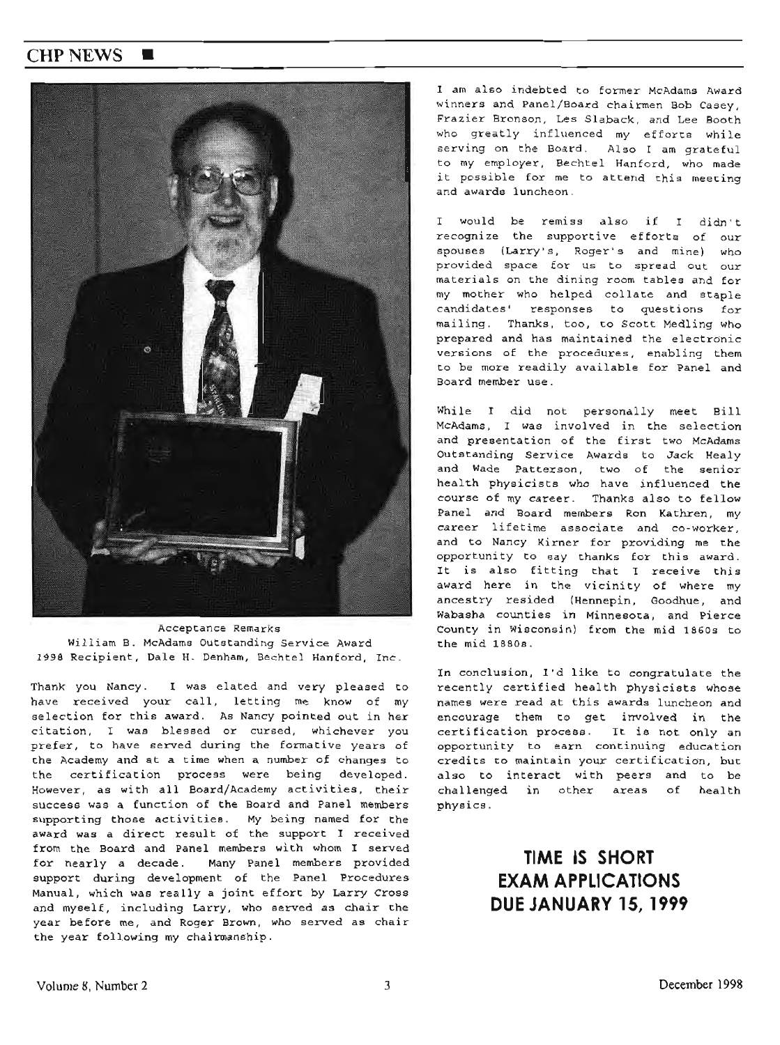## **CHPNEWS** ■



Acceptance Remarks William B. McAdams Outstanding Service Award 1998 Recipient, Dale H. Denham, Bechtel Hanford, Inc.

Thank you Nancy. I was elated and very pleased to have received your call, letting me know of my selection for this award. As Nancy pointed out in her citation, I was blessed or cursed, whichever you prefer, to have served during the formative years of the Academy and at a time when a number of changes to the certification process were being developed. However, as with all Board/Academy activities, their success was a function of the Board and Panel members supporting those activities. My being named for the award was <sup>a</sup>direct result of the support I received from the Board and Panel members with whom I served for nearly a decade. Many Panel members provided support during development of the Panel Procedures Manual, which was really a joint effort by Larry Cross and myself, including Larry, who served as chair the year before me, and Roger Brown, who served as chair the year following my chairmanship.

I am also indebted to former McAdams Award winners and Panel/Board chairmen Bob Casey, Frazier Bronson, Les Slaback, and Lee Booth who greatly influenced my efforts while serving on the Board. Also I am grateful to my employer, Bechtel Hanford, who made it possible for me to attend this meeting and awards luncheon .

I would be remiss also if I didn't recognize the supportive efforts of our spouses (Larry's, Roger's and mine) who provided space for us to spread out our materials on the dining room tables and for my mother who helped collate and etaple candidates' responses to questions for mailing. Thanks, too, to Scott Medling who prepared and has maintained the electronic versions of the procedures, enabling them to be more readily available for Panel and Board member use.

While I did not personally meet Bill McAdams, I was involved in the selection and presentation of the first two McAdams Outstanding Service Awards to Jack Healy and Wade Patterson, two of the senior health physicists who have influenced the course of my career. Thanks also to fellow Panel and Board members Ron Kathren, my career lifetime associate and co-worker, and to Nancy Kirner for providing me the opportunity to say thanks for this award . It is also fitting that 1 receive this award here in the vicinity of where my ancestry resided (Hennepin, Goodhue, and Wabasha counties in Minnesota, and Pierce County in Wisconsin) from the mid 1860s to the mid 1880s.

In conclusion, I'd like to congratulate the recently certified health physicists whose names were read at this awards luncheon and encourage them to get involved in the certification process. It is not only an opportunity to earn continuing education credits to maintain your certification, but also to interact with peers and to be challenged in other areas of health physics .

# **TIME IS SHORT EXAM APPLICATIONS DUE JANUARY 15, 1999**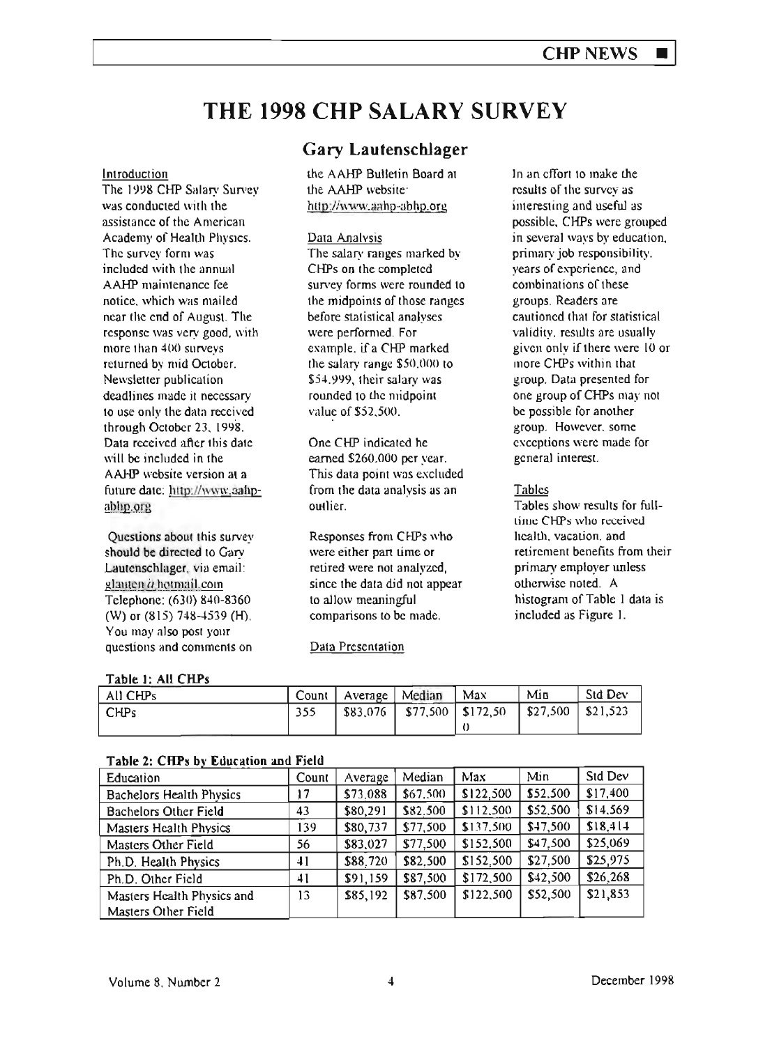# **THE 1998 CHP SALARY SURVEY**

#### Introduction

The 1998 CHP Salary Survey was conducted with the assistance of the American Academy of Health Physics. The survey form was included with the annual AAHP maintenance fee notice. which was mailed near the end of August. The response was very good, with more than  $400$  surveys returned by mid October. Newsletter publication deadlines made it necessary to use only the data received. through October 23, 1998. Data received after this date will be included in the AAHP website version at a future date: http://www.aahpablip.org

Questions abour this survey should be directed to Gary Lautenschlager, via email: glanten a hotmail.com Telephone: (630) 840-8360 (W) or (815) 748-4539 (H). You may nlso post your questions and comments on

## **Gary Lautenschlager**

the AAHP Bulletin Board at the AAHP website htto://,,·ww.aahp·abhp.org

#### Data Analvsis

The salary ranges marked by CHPs on rhe completed survey forms were rounded to the midpoints of those ranges before statistical analyses were performed. For example. if a CHP marked the salary range \$50.000 to \$54.999, 1heir salary was rounded to the midpoint value of \$52-500.

One CHP indicated he earned \$260.000 per year. This data point was excluded from the data analysis as an outlier.

Responses from CHPs who were either part time or retired were not analyzed, since the data did not appear to allow meaningful comparisons to be made.

## Data Presentation

In an effort to make the results of the survey as interesting and useful as possible, CHPs were grouped in several ways by education. primary job responsibility. years of experience, and combinations of these groups. Readers are cautioned that for statistical validity, results are usually given only if there were 10 or more CHPs within that group. Data presented for one group of CHPs may not be possible for another group. However. some exceptions were made for general interest.

## **Tables**

Tables show resuhs for fulllime CHPs who received health. vacation. and retirement benefits from their primary employer unless otherwisc noted. A histogram of Table I data is included as Figure I.

#### **Table l: All CHPs**

| All CHPs | Count   Average   Median | $^{\circ}$ Max                                                     | Min | Std Dev |
|----------|--------------------------|--------------------------------------------------------------------|-----|---------|
| ' CHPs   |                          | $\frac{1}{2}$ \$83,076   \$77,500   \$172,50   \$27,500   \$21,523 |     |         |
|          |                          |                                                                    |     |         |

| rabic 2. Chu 3 o'i Cuntanon and ricid |       |          |          |           |          |           |
|---------------------------------------|-------|----------|----------|-----------|----------|-----------|
| Education                             | Count | Average  | Median   | Max       | Min      | Std Dev   |
| Bachelors Health Physics              | 17    | \$73,088 | \$67,500 | \$122.500 | \$52,500 | \$17,400  |
| <b>Bachelors Other Field</b>          | 43    | \$80,291 | \$82.500 | \$112,500 | \$52,500 | \$14,569  |
| Masters Health Physics                | 139   | \$80,737 | \$77,500 | \$137,500 | \$47,500 | \$18, 414 |
| Masters Other Field                   | 56    | \$83,027 | \$77,500 | \$152,500 | \$47,500 | \$25,069  |
| Ph.D. Health Physics                  | 41    | \$88,720 | \$82,500 | \$152,500 | \$27,500 | \$25,975  |
| Ph.D. Other Field                     | 41    | \$91,159 | \$87,500 | \$172,500 | \$42,500 | \$26,268  |
| Masters Health Physics and            | 13    | \$85,192 | \$87,500 | \$122,500 | \$52,500 | \$21,853  |
| Masters Other Field                   |       |          |          |           |          |           |

#### **T a bl e 2** : **CRP** ~ **b** I\' **Ed ucatton an**  d F' 1e Id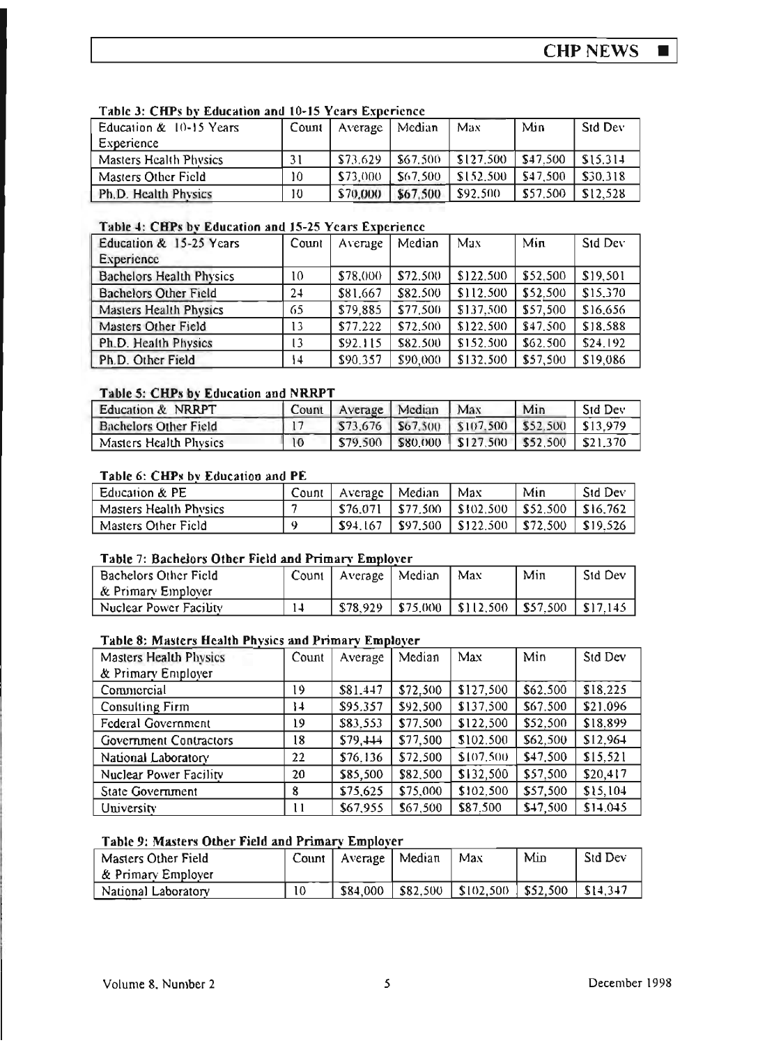$\blacksquare$ 

| Education & 10-15 Years       | Count | Average  | Median   | Max       | Min      | Std Dev  |
|-------------------------------|-------|----------|----------|-----------|----------|----------|
| Experience                    |       |          |          |           |          |          |
| <b>Masters Health Physics</b> | 31    | \$73.629 | \$67.500 | \$127.500 | \$47.500 | \$15.314 |
| Masters Other Field           | 10    | \$73,000 | \$67.500 | \$152.500 | \$47.500 | \$30.318 |
| Ph.D. Health Physics          | 10    | \$70,000 | \$67.500 | \$92,500  | \$57.500 | \$12.528 |

## Table 3: CHPs by Education and 10-15 Years Experience

## Table 4: CHPs by Education and 15-25 Years Experience

| Education & 15-25 Years         | Count | Average  | Median   | Max       | Min      | Std Dev  |
|---------------------------------|-------|----------|----------|-----------|----------|----------|
| Experience                      |       |          |          |           |          |          |
| <b>Bachelors Health Physics</b> | 10    | \$78,000 | \$72.500 | \$122.500 | \$52.500 | \$19,501 |
| <b>Bachelors Other Field</b>    | 24    | \$81,667 | \$82.500 | \$112.500 | \$52.500 | \$15,370 |
| <b>Masters Health Physics</b>   | 65    | \$79,885 | \$77,500 | \$137,500 | \$57,500 | \$16,656 |
| Masters Other Field             | 13    | \$77.222 | \$72.500 | \$122,500 | \$47.500 | \$18,588 |
| Ph.D. Health Physics            | 13    | \$92.115 | \$82.500 | \$152.500 | \$62.500 | \$24.192 |
| Ph.D. Other Field               | 14    | \$90,357 | \$90,000 | \$132,500 | \$57,500 | \$19,086 |

## Table 5: CHPs by Education and NRRPT

| Education & NRRPT            | Count           | Average Median | Max                                                    | Min | <b>Std Dev</b> |
|------------------------------|-----------------|----------------|--------------------------------------------------------|-----|----------------|
| <b>Bachelors Other Field</b> |                 |                | $$73.676$   \$67.500   \$107.500   \$52.500   \$13.979 |     |                |
| Masters Health Physics       | $\overline{10}$ | \$79,500       | $ $ \$80,000 $ $ \$127,500 $ $ \$52,500 $ $ \$21,370   |     |                |

## Table 6: CHPs by Education and PE

| Education & PE         | Count | Average   Median | Max                              | Min      | <b>Std Dev</b> |
|------------------------|-------|------------------|----------------------------------|----------|----------------|
| Masters Health Physics |       |                  | $$76,071$   \$77,500   \$102,500 | \$52,500 | SI6.762        |
| Masters Other Field    |       | \$94.167         | \$97.500   \$122.500             | \$72.500 | \$19.526       |

## Table 7: Bachelors Other Field and Primary Employer

| Bachelors Other Field<br>  & Primary Employer |    | Count   Average | Median | Max                             | Min | <b>Std Dev</b> |
|-----------------------------------------------|----|-----------------|--------|---------------------------------|-----|----------------|
| Nuclear Power Facility                        | 14 | \$78.929        |        | \$75,000   \$112,500   \$57,500 |     | $1$ \$17.145   |

### Table 8: Masters Health Physics and Primary Employer

| <b>Masters Health Physics</b> | Count | Average  | Median   | Max       | Min      | Std Dev  |
|-------------------------------|-------|----------|----------|-----------|----------|----------|
| & Primary Employer            |       |          |          |           |          |          |
| Commercial                    | 19    | \$81.447 | \$72,500 | \$127,500 | \$62,500 | \$18.225 |
| Consulting Firm               | 14    | \$95.357 | \$92,500 | \$137,500 | \$67.500 | \$21.096 |
| <b>Federal Government</b>     | 19    | \$83,553 | \$77,500 | \$122,500 | \$52,500 | \$18.899 |
| <b>Government Contractors</b> | 18    | \$79,444 | \$77,500 | \$102.500 | \$62,500 | \$12,964 |
| National Laboratory           | 22    | \$76,136 | \$72,500 | \$107,500 | \$47,500 | \$15,521 |
| Nuclear Power Facility        | 20    | \$85,500 | \$82,500 | \$132,500 | \$57,500 | \$20,417 |
| State Government              | 8     | \$75,625 | \$75,000 | \$102,500 | \$57,500 | \$15,104 |
| University                    | Ħ     | \$67,955 | \$67,500 | \$87,500  | \$47,500 | \$14,045 |

#### Table 9: Masters Other Field and Primary Employer

| ' Masters Other Field | $Count \mid$ | Average   Median |          | Max                   | Min          | <b>Std Dev</b> |
|-----------------------|--------------|------------------|----------|-----------------------|--------------|----------------|
| ∣& Primary Employer   |              |                  |          |                       |              |                |
| National Laboratory   | 10           | \$84,000         | \$82.500 | $\parallel$ \$102,500 | $ $ \$52,500 | $$14.3+7$      |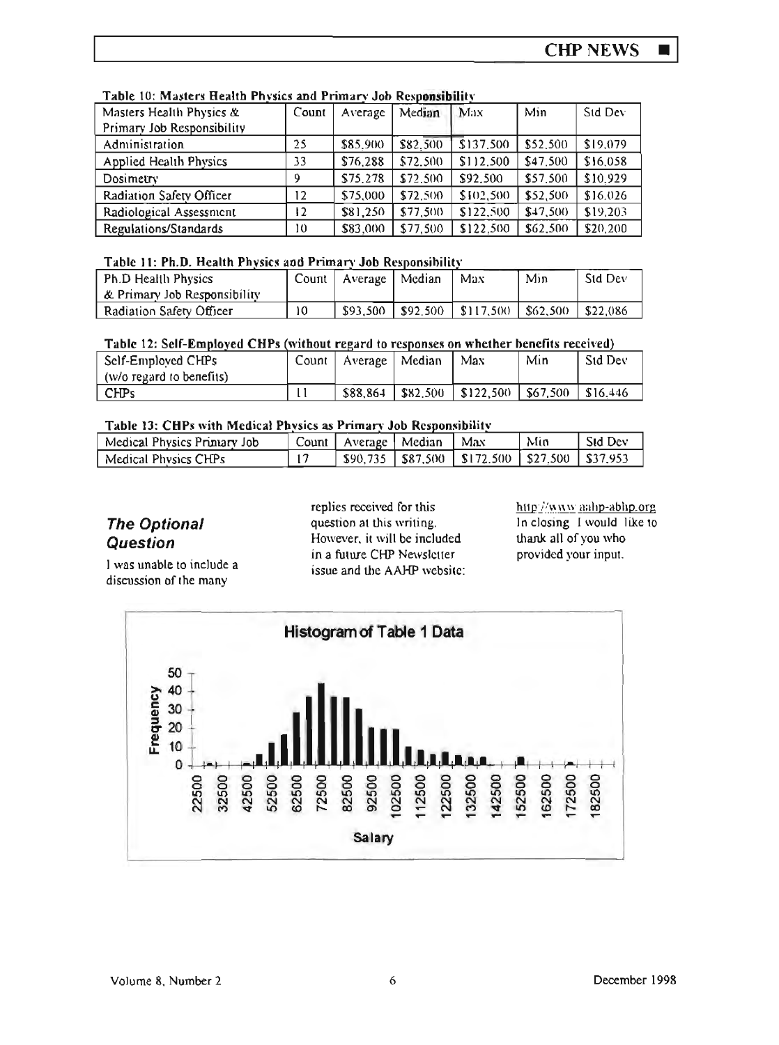| LAUIC IV. ML43ICI3 LICAILU I IIV3IC3 400 L LIINALV JOD INCAD <b>ONAIDINI</b> N |                   |          |          |           |          |          |  |  |
|--------------------------------------------------------------------------------|-------------------|----------|----------|-----------|----------|----------|--|--|
| Masters Health Physics &                                                       | Count             | Average  | Median   | Max       | Min      | Sid Dev  |  |  |
| Primary Job Responsibility                                                     |                   |          |          |           |          |          |  |  |
| Administration                                                                 | 25                | \$85,900 | \$82.500 | \$137,500 | \$52,500 | \$19,079 |  |  |
| Applied Health Physics                                                         | 33                | \$76,288 | \$72.500 | \$112,500 | \$47,500 | \$16,058 |  |  |
| Dosimetry                                                                      | 9                 | \$75,278 | \$72.500 | \$92,500  | \$57,500 | \$10,929 |  |  |
| Radiation Safety Officer                                                       | $12 \overline{ }$ | \$75,000 | \$72.500 | \$102,500 | \$52,500 | \$16.026 |  |  |
| Radiological Assessment                                                        | 12                | \$81,250 | \$77,500 | \$122,500 | \$47,500 | \$19,203 |  |  |
| Regulations/Standards                                                          | 10                | \$83,000 | \$77,500 | \$122.500 | \$62,500 | \$20,200 |  |  |

## Table 10: Masters Health Physics and Primary Job Responsibility

## Table 11: Ph.D. Health Physics and Primary Job Responsibility

| Ph.D Health Physics            | $Count$ $\vdash$ | Average   Median | Max                                | Min      | Std Dev  |
|--------------------------------|------------------|------------------|------------------------------------|----------|----------|
| L & Primary Job Responsibility |                  |                  |                                    |          |          |
| Radiation Safety Officer       | 10               | \$93.500         | $\vert$ \$92,500 $\vert$ \$117,500 | \$62,500 | \$22,086 |

#### Table 12: Self-Employed CHPs (without regard to responses on whether benefits received)

| Self-Emploved CHPs<br>(w/o regard to benefits) | Count | $\perp$ Average $\parallel$ Median |          | Max                     | Min            | Sid Dev  |
|------------------------------------------------|-------|------------------------------------|----------|-------------------------|----------------|----------|
| <b>CHPs</b>                                    |       | \$88.864                           | \$82.500 | $\frac{1}{2}$ \$122.500 | $\pm$ \$67.500 | \$16.446 |

### Table 13: CHPs with Medical Physics as Primary Job Responsibility

| Medical Physics Primary Job | Count I | Average   Median | Max                                                    | Min | Sid Dev |
|-----------------------------|---------|------------------|--------------------------------------------------------|-----|---------|
| Medical Physics CHPs        |         |                  | $$90.735$   \$87.500   \$172.500   \$27.500   \$37.953 |     |         |

## **The Optional Question**

I was unable to include a discussion of the many

replies received for this question at this writing. However, it will be included in a future CHP Newsletter issue and the AAHP website: http://www.aahp-abhp.org In closing I would like to thank all of you who provided your input.

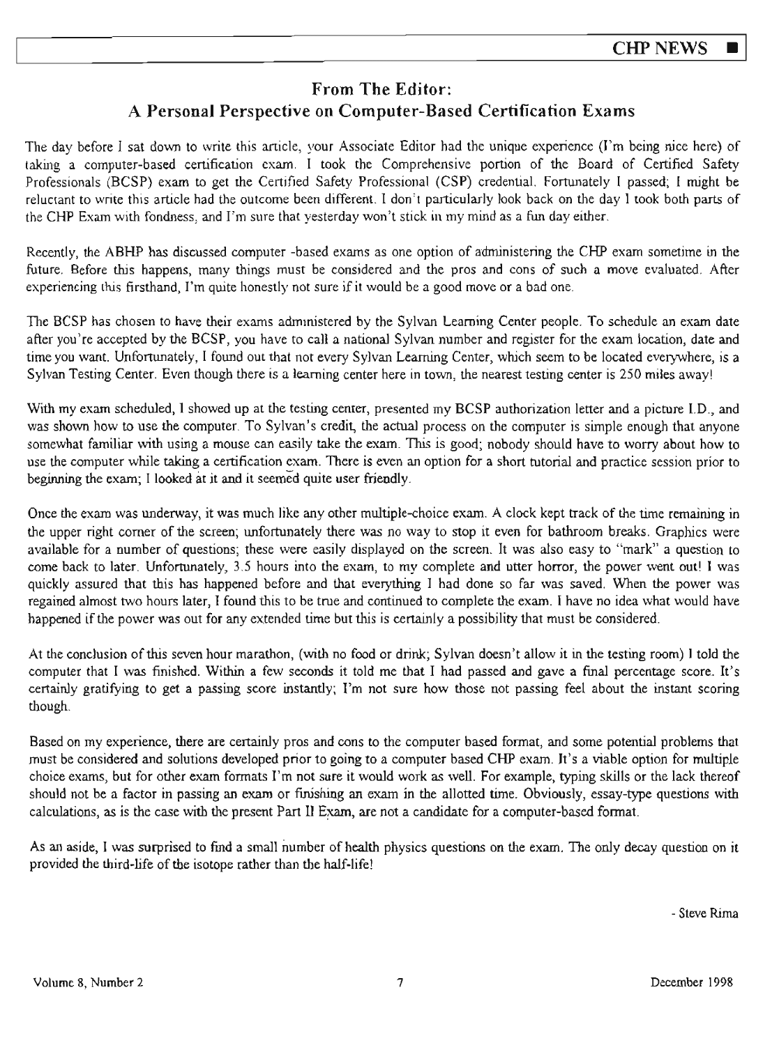## From The Editor: A Personal Perspective on Computer-Based Certification Exams

The day before I sat down to write this article, your Associate Editor had the unique experience (I'm being nice here) of taking a computer-based certification exam. I took the Comprehensive portion of the Board of Certified Safety Professionals (BCSP) exam to get the Certified Safety Professional (CSP) credential. Fortunately I passed; I might be reluctant to write this article had the outcome been different. I don't particularly look back on the day I took both parts of the CHP Exam with fondness, and I'm sure that yesterday won't stick in my mind as a fun day either.

Recently, the ABHP has discussed computer -based exams as one option of administering the CHP exam sometime in the future. Before this happens, many things must be considered and the pros and cons of such a move evaluated . After experiencing this firsthand, I'm quite honestly not sure if it would be a good move or a bad one.

The BCSP has chosen to have their exams admmistered by the Sylvan Learning Center people. To schedule an exam date after you're accepted by the BCSP, you have to call a national Sylvan number and register for the exam location, date and time you want. Unfortunately, I found out that not every Sylvan Leaming Center, whjch seem to be located everywhere, is a Sylvan Testing Center. Even though there is a learning center here in town, the nearest testing center is 250 miles away!

With my exam scheduled, I showed up at the testing center, presented my BCSP authorization letter and a picture I.D., and was shown how to use the computer. To Sylvan's credit, the actual process on the computer is simple enough that anyone somewhat familiar with using a mouse can easily take the exam. This is good; nobody should have to worry about how to use the computer while taking a certification exam. There is even an option for a short tutorial and practice session prior to beginning the exam; I looked at it and it seemed quite user friendly .

Once the exam was underway, it was much like any other multiple-choice exam. A clock kept track of the time remaining in the upper right comer of the screen; unfortunately there was no way to stop it even for bathroom breaks. Graphics were available for a number of questions; these were easily displayed on the screen. It was also easy to "mark" a question to come back to later. Unfortunately, 3.5 hours into the exam, to my complete and utter horror, the power went out! I was quickly assured that this has happened before and that everything I had done so far was saved. When the power was regained almost two hours later, I found this to be true and continued to complete the exam. I have no idea what would have happened if the power was out for any extended time but this is certainly a possibility that must be considered.

At the conclusion of this seven hour marathon, (with no food or drink; Sylvan doesn't allow it in the testing room) I told the computer that I was finished. Within a few seconds it told me that I had passed and gave a finaJ percentage score. It's certainly gratifying to get a passing score instantly; I'm not sure how those not passing feel about the instant scoring though.

Based on my experience, there are certainly pros and cons to the computer based format, and some potential problems that must be considered and solutions developed prior to going to a computer based CHP exam. Jt's a viable option for multiple choice exams, but for other exam formats I'm not sure it would work as well. For example, typing skills or the lack thereof should not be a factor in passing an exam or finishing an exam in the allotted time. Obviously, essay-type questions with calculations, as is the case with the present Part II Exam, are not a candidate for a computer-based format.

As an aside, I was surprised to find a small number of health physics questions on the exam. The only decay question on it provided the third-life of the isotope rather than the half-life!

- Steve Rima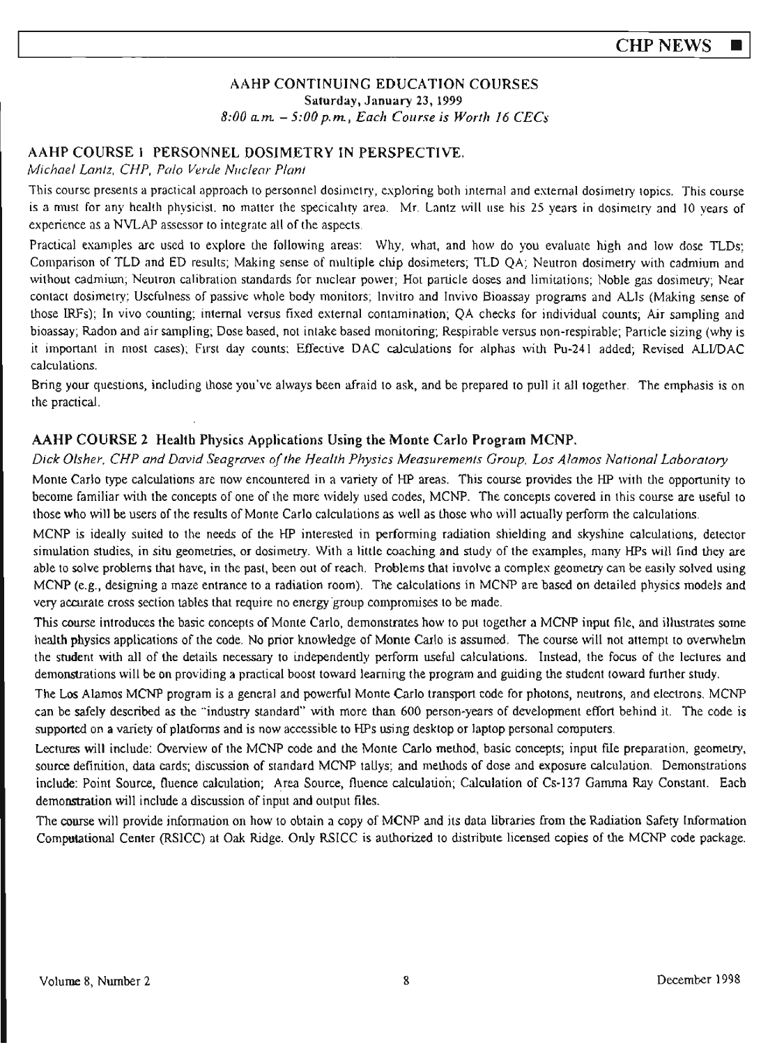## AAHP CONTINUING EDUCATION COURSES Saturday, January 23, 1999 *8:00* a.m - *5:00* p.m, *Each Course is Worth 16 CECs*

## AAHP COURSE I PERSONNEL DOSJMETRY IN PERSPECTIVE.

#### *Michael Lantz, CHP, Palo Verde Nuclear Plan/*

This course presents a practical approach to personnel dosimetry, exploring both internal and external dosimetry topics. This course is a must for any health physicist. no ma11er the specicahry area . Mr. Lantz will use his 25 years in dosimetry and 10 years of experience as a NVLAP assessor to integrate all of the aspects.

Practical examples arc used to explore the following areas: Why, what, and how do you evaluate high and low dose TLDs; Comparison of TLD and ED results; Making sense of multiple chip dosimeters; TLD QA; Neutron dosimetry with cadmium and without cadmiwn; Neutron calibration standards for nuclear power; Hot particle doses and limitations; Noble gas dosimetry; Near contact dosimetry; Usefulness of passive whole body monitors; lnvitro and lnvivo Bioassay programs and ALis (Making sense of those IRFs); In vivo counting; internal versus fixed external contamination; QA checks for individual counts; Air sampling and bioassay; Radon and air sampling; Dose based, not intake based monitoring; Respirable versus non-respirable; Particle sizing (why is it important in most cases): First day counts: Effective DAC caJcuJations for alphas with Pu-241 added; Revised ALI/DAC calculations.

Bring your questions, including those you've always been afraid to ask, and be prepared to pull it all together. The emphasis is on the practical.

## **AAHP COURSE 2 Health Physics Applications Using the Monte Carlo Program MCNP.**

#### *Dick Disher. CHP and David Seagraves of the Health Physics Measurements Group. Los Alamos National Laboratory*

Monte Carlo type calculations are now encountered in a variety of HP areas. This course provides the HP with the opportunity to become familiar with the concepts of one of the more widely used codes, MCNP. The concepts covered in this course are useful to those who will be users of the results of Monte Carlo calculations as well as those who will actually perform the calculations.

MCNP is ideally suited to the needs of the HP interested in performing radiation shielding and skyshine calculations, detector simulation studies, in situ geometries, or dosimetry. With a little coaching and study of the examples, many HPs will find they are able to solve problems that have, *in* the past, been out of reach. Problems that involve a complex geometry can be easily solved using MCNP (e.g., designing a maze entrance to a radiation room). The calculations in MCNP are based on detailed physics models and very accurate cross section tables that require no energy group compromises to be made.

This course introduces the basic concepts of Monte Carlo, demonstrates how to put together a MCNP input file, and illustrates some health physics applications of the code. No prior knowledge of Monte Carlo is assumed. The course will not attempt to overwhelm the student with all of the details necessary to independently perform useful calculations. Instead, the focus of the lectures and demonstrations will be on providing a practical boost toward learning the program and guiding the student toward further study.

The Los Alamos MCNP program is a general and powerful Monte Carlo transport code for photons, neutrons, and electrons. MCNP can be safely described as the "'industry standard" with more than 600 person~years of development effort behind it. The code is supported on a variety of platforms and is now accessible to HPs using desktop or laptop personal computers.

Lectures will include: Overview of the MCNP code and the Monte Carlo method, basic concepts; input file preparation, geometry, source definition, data cards; discussion of standard MCNP taUys; and methods of dose and exposure calculation. Demonstrations include: Point Source, Ouence calculation; Area Source, fluence calculation; Calculation of Cs• 137 Gamma Ray Constant. Each demonstration will include a discussion of input and output files.

The course will provide infonnation on how to obtain a copy of MCNP and its data libraries from the Radiation Safety Information Computational Center (RSICC) at Oak Ridge. Only RSICC is authorized to distribute licensed copies of the MCNP code package.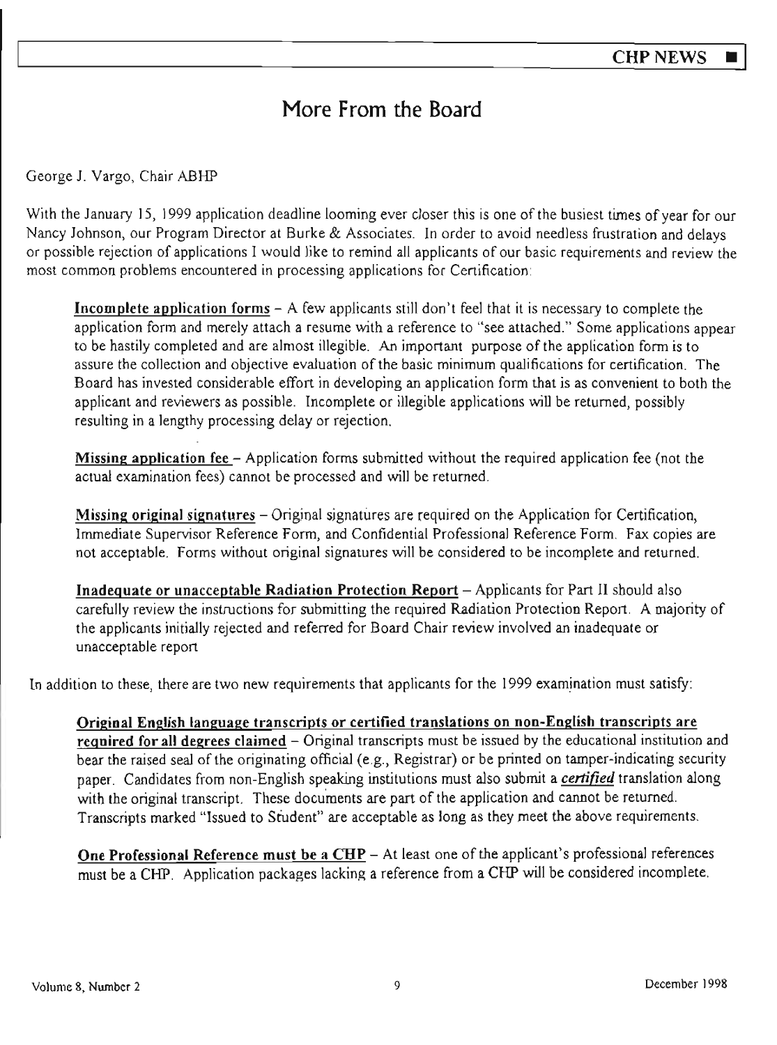# More From the Board

George J. Vargo, Chair ABHP

With the January 15, 1999 application deadline looming ever closer this is one of the busiest times of year for our Nancy Johnson, our Program Director at Burke & Associates. In order to avoid needless frustration and delays or possible rejection of applications I would like to remind all applicants of our basic requirements and review the most common problems encountered in processing applications for Certification:

**Incomplete application forms** - A few applicants still don't feel that it is necessary to complete the application form and merely attach a resume with a reference to "see attached." Some applications appear to be hastily completed and are almost illegible. An important purpose of the application form is to assure the collection and objective evaluation of the basic minimum qualifications for certification. The Board has invested considerable effort in developing an application form that is as convenient to both the applicant and reviewers as possible. Incomplete or illegible applications will be returned, possibly resulting in a lengthy processing delay or rejection.

**Missing application fee** - Application forms submitted without the required application fee (not the actual examination fees) cannot be processed and will be returned.

**Missing original signatures** – Original signatures are required on the Application for Certification, Immediate Supervisor Reference Form, and Confidential Professional Reference Form. Fax copies are not acceptable. Forms without original signatures will be considered to be incomplete and returned.

**Inadequate or unacceptab1e Radiation Protection Report** - Applicants for Part II should also carefully review the instructions for submitting the required Radiation Protection Report . A majority of the applicants initially rejected and referred for Board Chair review involved an inadequate or unacceptable report

In addition to these, there are two new requirements that applicants for the 1999 examination must satisfy:

**Original English language transcripts or certified translations on non-English transcripts are**  required for all degrees claimed - Original transcripts must be issued by the educational institution and bear the raised seal of the originating official (e.g., Registrar) or be printed on tamper-indicating security paper. Candidates from non-English speaking institutions must also submit a *certified* translation along with the original transcript. These documents are part of the application and cannot be returned. Transcripts marked "Issued to Student" are acceptable as long as they meet the above requirements.

One Professional Reference must be a CHP - At least one of the applicant's professional references must be a CHP. Application packages lacking a reference from a CHP will be considered incomolete.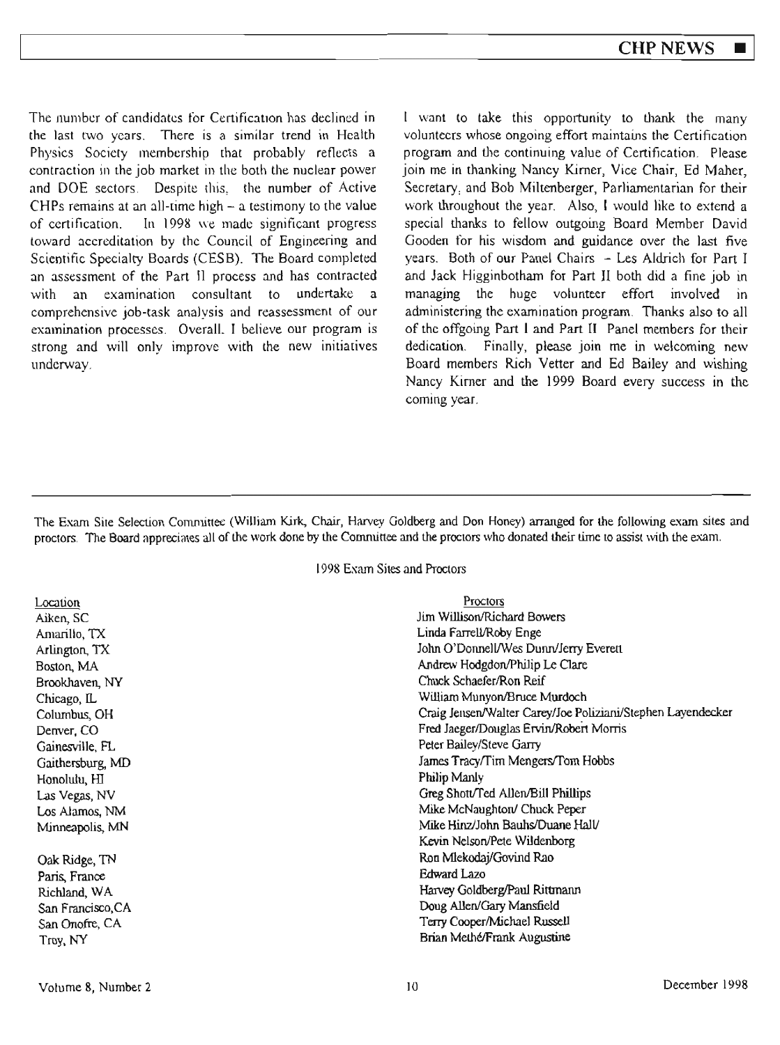The number of candidates for Certification has declined in the last two years. There is a similar trend in Health Physics Society membership that probably reflects a contraction in the job market in the both the nuclear power and DOE sectors. Despite this, the **number** of Active CHPs remains at an all-cime high - a testimony to the value of certification. In 1998 we made significant progress toward accreditation by the Council of Engineering and Scientific Specialty Boards (CESB). The Board completed an assessment of the Part II process and has contracted with an examination consultant to undertake a comprehensive job-task analysis and reassessment of our examination processes. Overall. I believe our program is strong and will only improve with the new initiatives underway.

I want to take this opportunity to thank the many volunteers whose ongoing effort maintains the Certification program and the continuing value of Certification. Please join me in thanking Nancy Kirner, Vice Chair, Ed Maher, Secretary, and Bob Miltenberger, Parliamentarian for their work throughout the year. Also, I would like to extend a special thanks to fellow outgoing Board Member David Gooden for his wisdom and guidance over the last five years. Both of our Panel Chairs - Les Aldrich for Part I and Jack Higginbotham for Part II both did a fine job in managing the huge volunteer effort involved in administering the examination program. Thanks also to all of the offgoing Part I and Part II Panel members for their dedication. Finally, please join me in welcoming new Board members Rich Vetter and Ed Bailey and wishing Nancy Kirner and the 1999 Board every success in the coming year.

The Exam Site Selection Committee (William Kirk, Chair, Harvey Goldberg and Don Honey) arranged for the following exam sites and proctors. The Board appreciates all of the work done by the Committee and the proctors who donated their time to assist with the exam.

1998 Exam Sites and Proctors

Location Aiken, SC Amarillo, TX Arlington, TX Boston, MA Brookhaven, NY Chicago, IL Columbus, OH Denver, CO Gainesville, R.. Gaithersburg, MD Honolulu, HJ Las Vegas, NV Los Alamos, NM Minneapolis, MN

Oak Ridge, TN Paris, France Richland, WA San Francisco.CA San Onofre, CA Troy, NY

| Proctors                                                    |
|-------------------------------------------------------------|
| Jim Willison/Richard Bowers                                 |
| Linda Farrell/Roby Enge                                     |
| John O'Donnell/Wes Dunn/Jerry Everett                       |
| Andrew Hodgdon/Philip Le Clare                              |
| Chuck Schaefer/Ron Reif                                     |
| William Munyon/Bruce Murdoch                                |
| Craig Jensen/Walter Carey/Joe Poliziani/Stephen Layendecker |
| Fred Jaeger/Douglas Ervin/Robert Morris                     |
| Peter Bailey/Steve Garry                                    |
| James Tracy/Tim Mengers/Tom Hobbs                           |
| Philip Manly                                                |
| Greg Shott/Ted Allen/Bill Phillips                          |
| Mike McNaughton/ Chuck Peper                                |
| Mike Hinz/John Bauhs/Duane Hall/                            |
| Kevin Nelson/Pete Wildenborg                                |
| Ron Mlekodaj/Govind Rao                                     |
| <b>Edward Lazo</b>                                          |
| Harvey Goldberg/Paul Rittmann                               |
| Doug Allen/Gary Mansfield                                   |
| Terry Cooper/Michael Russell                                |
| Brian Methé/Frank Augustine                                 |
|                                                             |